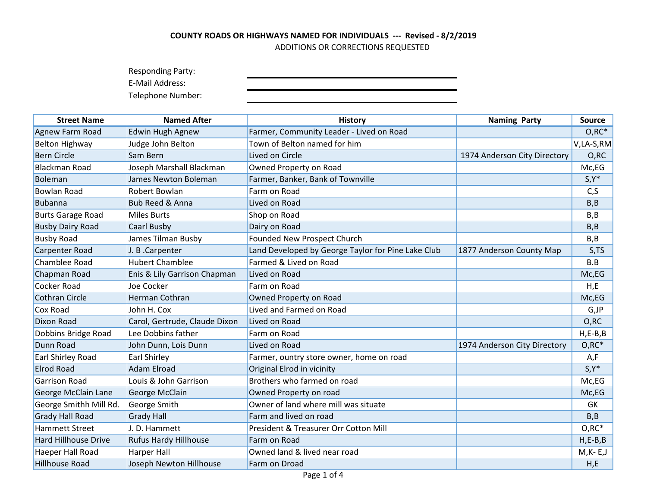Responding Party:

E-Mail Address:

| <b>Street Name</b>          | <b>Named After</b>            | <b>History</b>                                     | <b>Naming Party</b>          | <b>Source</b> |
|-----------------------------|-------------------------------|----------------------------------------------------|------------------------------|---------------|
| Agnew Farm Road             | Edwin Hugh Agnew              | Farmer, Community Leader - Lived on Road           |                              | $O, RC^*$     |
| <b>Belton Highway</b>       | Judge John Belton             | Town of Belton named for him                       |                              | V,LA-S,RM     |
| <b>Bern Circle</b>          | Sam Bern                      | Lived on Circle                                    | 1974 Anderson City Directory | O, RC         |
| <b>Blackman Road</b>        | Joseph Marshall Blackman      | Owned Property on Road                             |                              | Mc,EG         |
| Boleman                     | James Newton Boleman          | Farmer, Banker, Bank of Townville                  |                              | $S, Y^*$      |
| <b>Bowlan Road</b>          | Robert Bowlan                 | Farm on Road                                       |                              | C, S          |
| <b>Bubanna</b>              | <b>Bub Reed &amp; Anna</b>    | Lived on Road                                      |                              | B, B          |
| <b>Burts Garage Road</b>    | <b>Miles Burts</b>            | Shop on Road                                       |                              | B, B          |
| <b>Busby Dairy Road</b>     | Caarl Busby                   | Dairy on Road                                      |                              | B, B          |
| <b>Busby Road</b>           | James Tilman Busby            | Founded New Prospect Church                        |                              | B, B          |
| Carpenter Road              | J. B.Carpenter                | Land Developed by George Taylor for Pine Lake Club | 1877 Anderson County Map     | S,TS          |
| <b>Chamblee Road</b>        | <b>Hubert Chamblee</b>        | Farmed & Lived on Road                             |                              | B.B           |
| Chapman Road                | Enis & Lily Garrison Chapman  | Lived on Road                                      |                              | Mc,EG         |
| <b>Cocker Road</b>          | Joe Cocker                    | Farm on Road                                       |                              | H,E           |
| <b>Cothran Circle</b>       | Herman Cothran                | Owned Property on Road                             |                              | Mc,EG         |
| Cox Road                    | John H. Cox                   | Lived and Farmed on Road                           |                              | G,JP          |
| <b>Dixon Road</b>           | Carol, Gertrude, Claude Dixon | Lived on Road                                      |                              | O, RC         |
| Dobbins Bridge Road         | Lee Dobbins father            | Farm on Road                                       |                              | $H, E-B, B$   |
| Dunn Road                   | John Dunn, Lois Dunn          | Lived on Road                                      | 1974 Anderson City Directory | $O, RC^*$     |
| Earl Shirley Road           | <b>Earl Shirley</b>           | Farmer, ountry store owner, home on road           |                              | A,F           |
| <b>Elrod Road</b>           | <b>Adam Elroad</b>            | Original Elrod in vicinity                         |                              | $S, Y^*$      |
| <b>Garrison Road</b>        | Louis & John Garrison         | Brothers who farmed on road                        |                              | Mc,EG         |
| George McClain Lane         | George McClain                | Owned Property on road                             |                              | Mc,EG         |
| George Smithh Mill Rd.      | George Smith                  | Owner of land where mill was situate               |                              | GK            |
| <b>Grady Hall Road</b>      | <b>Grady Hall</b>             | Farm and lived on road                             |                              | B, B          |
| <b>Hammett Street</b>       | J. D. Hammett                 | President & Treasurer Orr Cotton Mill              |                              | $O, RC^*$     |
| <b>Hard Hillhouse Drive</b> | Rufus Hardy Hillhouse         | Farm on Road                                       |                              | $H, E-B, B$   |
| Haeper Hall Road            | <b>Harper Hall</b>            | Owned land & lived near road                       |                              | $M$ , K-E, J  |
| Hillhouse Road              | Joseph Newton Hillhouse       | Farm on Droad                                      |                              | H,E           |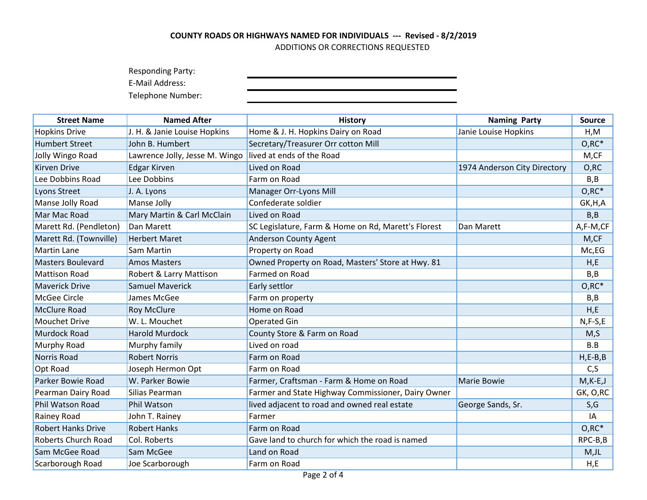Responding Party:

E-Mail Address:

| <b>Street Name</b>        | <b>Named After</b>             | <b>History</b>                                      | <b>Naming Party</b>          | <b>Source</b> |
|---------------------------|--------------------------------|-----------------------------------------------------|------------------------------|---------------|
| <b>Hopkins Drive</b>      | J. H. & Janie Louise Hopkins   | Home & J. H. Hopkins Dairy on Road                  | Janie Louise Hopkins         | H, M          |
| <b>Humbert Street</b>     | John B. Humbert                | Secretary/Treasurer Orr cotton Mill                 |                              | $O, RC^*$     |
| Jolly Wingo Road          | Lawrence Jolly, Jesse M. Wingo | lived at ends of the Road                           |                              | M,CF          |
| <b>Kirven Drive</b>       | <b>Edgar Kirven</b>            | Lived on Road                                       | 1974 Anderson City Directory | O, RC         |
| Lee Dobbins Road          | Lee Dobbins                    | Farm on Road                                        |                              | B, B          |
| Lyons Street              | J. A. Lyons                    | Manager Orr-Lyons Mill                              |                              | $O, RC^*$     |
| Manse Jolly Road          | Manse Jolly                    | Confederate soldier                                 |                              | GK, H, A      |
| Mar Mac Road              | Mary Martin & Carl McClain     | Lived on Road                                       |                              | B, B          |
| Marett Rd. (Pendleton)    | Dan Marett                     | SC Legislature, Farm & Home on Rd, Marett's Florest | Dan Marett                   | A,F-M,CF      |
| Marett Rd. (Townville)    | <b>Herbert Maret</b>           | <b>Anderson County Agent</b>                        |                              | M,CF          |
| <b>Martin Lane</b>        | Sam Martin                     | Property on Road                                    |                              | Mc,EG         |
| <b>Masters Boulevard</b>  | <b>Amos Masters</b>            | Owned Property on Road, Masters' Store at Hwy. 81   |                              | H,E           |
| <b>Mattison Road</b>      | Robert & Larry Mattison        | Farmed on Road                                      |                              | B, B          |
| <b>Maverick Drive</b>     | <b>Samuel Maverick</b>         | Early settlor                                       |                              | $O, RC^*$     |
| <b>McGee Circle</b>       | James McGee                    | Farm on property                                    |                              | B,B           |
| <b>McClure Road</b>       | <b>Roy McClure</b>             | Home on Road                                        |                              | H,E           |
| <b>Mouchet Drive</b>      | W. L. Mouchet                  | Operated Gin                                        |                              | $N, F-S, E$   |
| Murdock Road              | <b>Harold Murdock</b>          | County Store & Farm on Road                         |                              | M, S          |
| Murphy Road               | Murphy family                  | Lived on road                                       |                              | B.B           |
| <b>Norris Road</b>        | <b>Robert Norris</b>           | Farm on Road                                        |                              | $H, E-B, B$   |
| Opt Road                  | Joseph Hermon Opt              | Farm on Road                                        |                              | C, S          |
| Parker Bowie Road         | W. Parker Bowie                | Farmer, Craftsman - Farm & Home on Road             | Marie Bowie                  | $M,K-E,J$     |
| Pearman Dairy Road        | Silias Pearman                 | Farmer and State Highway Commissioner, Dairy Owner  |                              | GK, O,RC      |
| <b>Phil Watson Road</b>   | <b>Phil Watson</b>             | lived adjacent to road and owned real estate        | George Sands, Sr.            | S,G           |
| Rainey Road               | John T. Rainey                 | Farmer                                              |                              | IA            |
| <b>Robert Hanks Drive</b> | <b>Robert Hanks</b>            | Farm on Road                                        |                              | $O, RC^*$     |
| Roberts Church Road       | Col. Roberts                   | Gave land to church for which the road is named     |                              | RPC-B,B       |
| Sam McGee Road            | Sam McGee                      | Land on Road                                        |                              | $M,$ JL       |
| Scarborough Road          | Joe Scarborough                | Farm on Road                                        |                              | H,E           |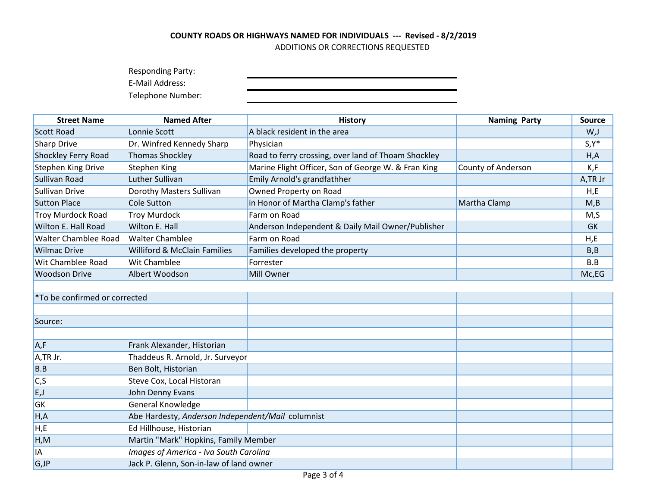Responding Party:

E-Mail Address:

| <b>Street Name</b>            | <b>Named After</b>                                | <b>History</b>                                      | <b>Naming Party</b> | <b>Source</b> |
|-------------------------------|---------------------------------------------------|-----------------------------------------------------|---------------------|---------------|
| <b>Scott Road</b>             | Lonnie Scott                                      | A black resident in the area                        |                     | W,J           |
| Sharp Drive                   | Dr. Winfred Kennedy Sharp                         | Physician                                           |                     | $S, Y^*$      |
| Shockley Ferry Road           | <b>Thomas Shockley</b>                            | Road to ferry crossing, over land of Thoam Shockley |                     | H, A          |
| <b>Stephen King Drive</b>     | <b>Stephen King</b>                               | Marine Flight Officer, Son of George W. & Fran King | County of Anderson  | K,F           |
| Sullivan Road                 | Luther Sullivan                                   | Emily Arnold's grandfathher                         |                     | A,TR Jr       |
| Sullivan Drive                | Dorothy Masters Sullivan                          | Owned Property on Road                              |                     | H,E           |
| <b>Sutton Place</b>           | <b>Cole Sutton</b>                                | in Honor of Martha Clamp's father                   | Martha Clamp        | M,B           |
| <b>Troy Murdock Road</b>      | <b>Troy Murdock</b>                               | Farm on Road                                        |                     | M, S          |
| Wilton E. Hall Road           | Wilton E. Hall                                    | Anderson Independent & Daily Mail Owner/Publisher   |                     | <b>GK</b>     |
| Walter Chamblee Road          | <b>Walter Chamblee</b>                            | Farm on Road                                        |                     | H,E           |
| <b>Wilmac Drive</b>           | <b>Williford &amp; McClain Families</b>           | Families developed the property                     |                     | B, B          |
| Wit Chamblee Road             | Wit Chamblee                                      | Forrester                                           |                     | B.B           |
| <b>Woodson Drive</b>          | Albert Woodson                                    | <b>Mill Owner</b>                                   |                     | Mc,EG         |
|                               |                                                   |                                                     |                     |               |
| *To be confirmed or corrected |                                                   |                                                     |                     |               |
|                               |                                                   |                                                     |                     |               |
| Source:                       |                                                   |                                                     |                     |               |
|                               |                                                   |                                                     |                     |               |
| A, F                          | Frank Alexander, Historian                        |                                                     |                     |               |
| A,TR Jr.                      | Thaddeus R. Arnold, Jr. Surveyor                  |                                                     |                     |               |
| B.B                           | Ben Bolt, Historian                               |                                                     |                     |               |
| C, S                          | Steve Cox, Local Historan                         |                                                     |                     |               |
| E, J                          | John Denny Evans                                  |                                                     |                     |               |
| GK                            | General Knowledge                                 |                                                     |                     |               |
| H, A                          | Abe Hardesty, Anderson Independent/Mail columnist |                                                     |                     |               |
| H,E                           | Ed Hillhouse, Historian                           |                                                     |                     |               |
| H, M                          | Martin "Mark" Hopkins, Family Member              |                                                     |                     |               |
| <b>IA</b>                     | Images of America - Iva South Carolina            |                                                     |                     |               |
| G,JP                          | Jack P. Glenn, Son-in-law of land owner           |                                                     |                     |               |